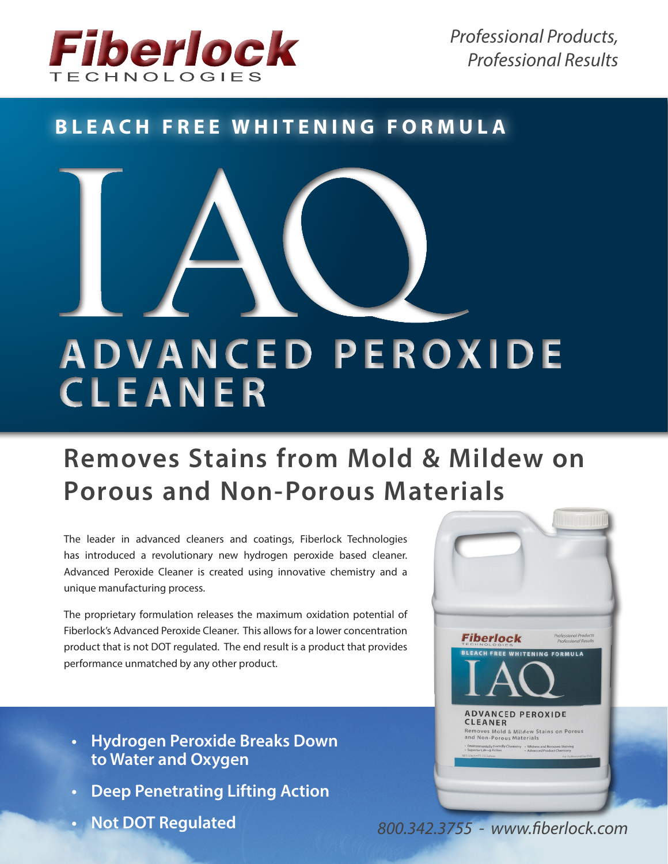

*Professional Products, Professional Results*

# **BLEACH FREE WHITENING FORMULA**



# **Removes Stains from Mold & Mildew on Porous and Non-Porous Materials**

The leader in advanced cleaners and coatings, Fiberlock Technologies has introduced a revolutionary new hydrogen peroxide based cleaner. Advanced Peroxide Cleaner is created using innovative chemistry and a unique manufacturing process.

The proprietary formulation releases the maximum oxidation potential of Fiberlock's Advanced Peroxide Cleaner. This allows for a lower concentration product that is not DOT regulated. The end result is a product that provides performance unmatched by any other product.

- **• Hydrogen Peroxide Breaks Down to Water and Oxygen**
- **• Deep Penetrating Lifting Action**
- **• Not DOT Regulated**